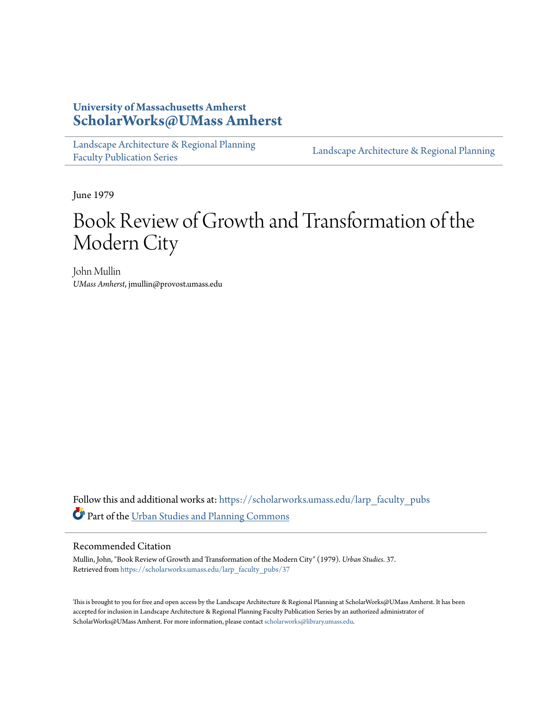## **University of Massachusetts Amherst [ScholarWorks@UMass Amherst](https://scholarworks.umass.edu?utm_source=scholarworks.umass.edu%2Flarp_faculty_pubs%2F37&utm_medium=PDF&utm_campaign=PDFCoverPages)**

[Landscape Architecture & Regional Planning](https://scholarworks.umass.edu/larp_faculty_pubs?utm_source=scholarworks.umass.edu%2Flarp_faculty_pubs%2F37&utm_medium=PDF&utm_campaign=PDFCoverPages) [Faculty Publication Series](https://scholarworks.umass.edu/larp_faculty_pubs?utm_source=scholarworks.umass.edu%2Flarp_faculty_pubs%2F37&utm_medium=PDF&utm_campaign=PDFCoverPages)

[Landscape Architecture & Regional Planning](https://scholarworks.umass.edu/larp?utm_source=scholarworks.umass.edu%2Flarp_faculty_pubs%2F37&utm_medium=PDF&utm_campaign=PDFCoverPages)

June 1979

## Book Review of Growth and Transformation of the Modern City

John Mullin *UMass Amherst*, jmullin@provost.umass.edu

Follow this and additional works at: [https://scholarworks.umass.edu/larp\\_faculty\\_pubs](https://scholarworks.umass.edu/larp_faculty_pubs?utm_source=scholarworks.umass.edu%2Flarp_faculty_pubs%2F37&utm_medium=PDF&utm_campaign=PDFCoverPages) Part of the [Urban Studies and Planning Commons](http://network.bepress.com/hgg/discipline/436?utm_source=scholarworks.umass.edu%2Flarp_faculty_pubs%2F37&utm_medium=PDF&utm_campaign=PDFCoverPages)

## Recommended Citation

Mullin, John, "Book Review of Growth and Transformation of the Modern City" (1979). *Urban Studies*. 37. Retrieved from [https://scholarworks.umass.edu/larp\\_faculty\\_pubs/37](https://scholarworks.umass.edu/larp_faculty_pubs/37?utm_source=scholarworks.umass.edu%2Flarp_faculty_pubs%2F37&utm_medium=PDF&utm_campaign=PDFCoverPages)

This is brought to you for free and open access by the Landscape Architecture & Regional Planning at ScholarWorks@UMass Amherst. It has been accepted for inclusion in Landscape Architecture & Regional Planning Faculty Publication Series by an authorized administrator of ScholarWorks@UMass Amherst. For more information, please contact [scholarworks@library.umass.edu.](mailto:scholarworks@library.umass.edu)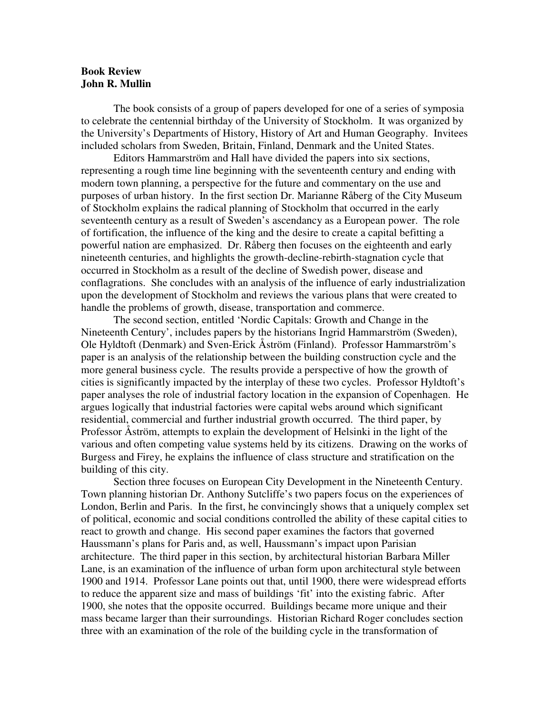## **Book Review John R. Mullin**

 The book consists of a group of papers developed for one of a series of symposia to celebrate the centennial birthday of the University of Stockholm. It was organized by the University's Departments of History, History of Art and Human Geography. Invitees included scholars from Sweden, Britain, Finland, Denmark and the United States.

 Editors Hammarström and Hall have divided the papers into six sections, representing a rough time line beginning with the seventeenth century and ending with modern town planning, a perspective for the future and commentary on the use and purposes of urban history. In the first section Dr. Marianne Råberg of the City Museum of Stockholm explains the radical planning of Stockholm that occurred in the early seventeenth century as a result of Sweden's ascendancy as a European power. The role of fortification, the influence of the king and the desire to create a capital befitting a powerful nation are emphasized. Dr. Råberg then focuses on the eighteenth and early nineteenth centuries, and highlights the growth-decline-rebirth-stagnation cycle that occurred in Stockholm as a result of the decline of Swedish power, disease and conflagrations. She concludes with an analysis of the influence of early industrialization upon the development of Stockholm and reviews the various plans that were created to handle the problems of growth, disease, transportation and commerce.

 The second section, entitled 'Nordic Capitals: Growth and Change in the Nineteenth Century', includes papers by the historians Ingrid Hammarström (Sweden), Ole Hyldtoft (Denmark) and Sven-Erick Åström (Finland). Professor Hammarström's paper is an analysis of the relationship between the building construction cycle and the more general business cycle. The results provide a perspective of how the growth of cities is significantly impacted by the interplay of these two cycles. Professor Hyldtoft's paper analyses the role of industrial factory location in the expansion of Copenhagen. He argues logically that industrial factories were capital webs around which significant residential, commercial and further industrial growth occurred. The third paper, by Professor Åström, attempts to explain the development of Helsinki in the light of the various and often competing value systems held by its citizens. Drawing on the works of Burgess and Firey, he explains the influence of class structure and stratification on the building of this city.

 Section three focuses on European City Development in the Nineteenth Century. Town planning historian Dr. Anthony Sutcliffe's two papers focus on the experiences of London, Berlin and Paris. In the first, he convincingly shows that a uniquely complex set of political, economic and social conditions controlled the ability of these capital cities to react to growth and change. His second paper examines the factors that governed Haussmann's plans for Paris and, as well, Haussmann's impact upon Parisian architecture. The third paper in this section, by architectural historian Barbara Miller Lane, is an examination of the influence of urban form upon architectural style between 1900 and 1914. Professor Lane points out that, until 1900, there were widespread efforts to reduce the apparent size and mass of buildings 'fit' into the existing fabric. After 1900, she notes that the opposite occurred. Buildings became more unique and their mass became larger than their surroundings. Historian Richard Roger concludes section three with an examination of the role of the building cycle in the transformation of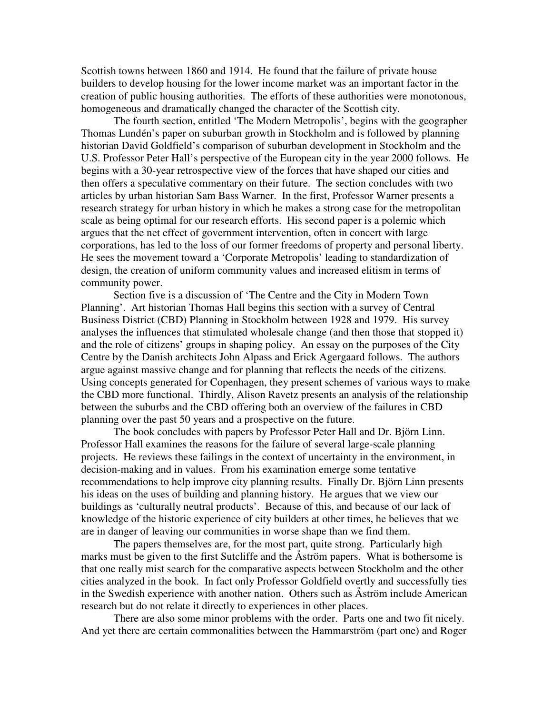Scottish towns between 1860 and 1914. He found that the failure of private house builders to develop housing for the lower income market was an important factor in the creation of public housing authorities. The efforts of these authorities were monotonous, homogeneous and dramatically changed the character of the Scottish city.

 The fourth section, entitled 'The Modern Metropolis', begins with the geographer Thomas Lundén's paper on suburban growth in Stockholm and is followed by planning historian David Goldfield's comparison of suburban development in Stockholm and the U.S. Professor Peter Hall's perspective of the European city in the year 2000 follows. He begins with a 30-year retrospective view of the forces that have shaped our cities and then offers a speculative commentary on their future. The section concludes with two articles by urban historian Sam Bass Warner. In the first, Professor Warner presents a research strategy for urban history in which he makes a strong case for the metropolitan scale as being optimal for our research efforts. His second paper is a polemic which argues that the net effect of government intervention, often in concert with large corporations, has led to the loss of our former freedoms of property and personal liberty. He sees the movement toward a 'Corporate Metropolis' leading to standardization of design, the creation of uniform community values and increased elitism in terms of community power.

 Section five is a discussion of 'The Centre and the City in Modern Town Planning'. Art historian Thomas Hall begins this section with a survey of Central Business District (CBD) Planning in Stockholm between 1928 and 1979. His survey analyses the influences that stimulated wholesale change (and then those that stopped it) and the role of citizens' groups in shaping policy. An essay on the purposes of the City Centre by the Danish architects John Alpass and Erick Agergaard follows. The authors argue against massive change and for planning that reflects the needs of the citizens. Using concepts generated for Copenhagen, they present schemes of various ways to make the CBD more functional. Thirdly, Alison Ravetz presents an analysis of the relationship between the suburbs and the CBD offering both an overview of the failures in CBD planning over the past 50 years and a prospective on the future.

 The book concludes with papers by Professor Peter Hall and Dr. Björn Linn. Professor Hall examines the reasons for the failure of several large-scale planning projects. He reviews these failings in the context of uncertainty in the environment, in decision-making and in values. From his examination emerge some tentative recommendations to help improve city planning results. Finally Dr. Björn Linn presents his ideas on the uses of building and planning history. He argues that we view our buildings as 'culturally neutral products'. Because of this, and because of our lack of knowledge of the historic experience of city builders at other times, he believes that we are in danger of leaving our communities in worse shape than we find them.

 The papers themselves are, for the most part, quite strong. Particularly high marks must be given to the first Sutcliffe and the Åström papers. What is bothersome is that one really mist search for the comparative aspects between Stockholm and the other cities analyzed in the book. In fact only Professor Goldfield overtly and successfully ties in the Swedish experience with another nation. Others such as Åström include American research but do not relate it directly to experiences in other places.

 There are also some minor problems with the order. Parts one and two fit nicely. And yet there are certain commonalities between the Hammarström (part one) and Roger